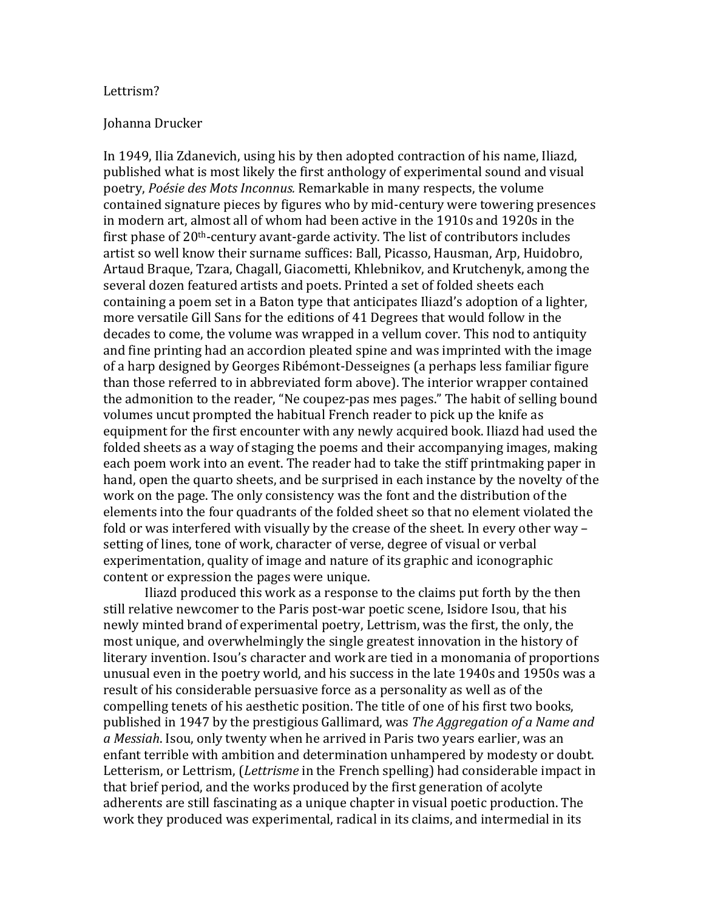## Lettrism?

## Johanna Drucker

In 1949, Ilia Zdanevich, using his by then adopted contraction of his name, Iliazd, published what is most likely the first anthology of experimental sound and visual poetry, Poésie des Mots Inconnus. Remarkable in many respects, the volume contained signature pieces by figures who by mid-century were towering presences in modern art, almost all of whom had been active in the 1910s and 1920s in the first phase of  $20<sup>th</sup>$ -century avant-garde activity. The list of contributors includes artist so well know their surname suffices: Ball, Picasso, Hausman, Arp, Huidobro, Artaud Braque, Tzara, Chagall, Giacometti, Khlebnikov, and Krutchenyk, among the several dozen featured artists and poets. Printed a set of folded sheets each containing a poem set in a Baton type that anticipates Iliazd's adoption of a lighter, more versatile Gill Sans for the editions of 41 Degrees that would follow in the decades to come, the volume was wrapped in a vellum cover. This nod to antiquity and fine printing had an accordion pleated spine and was imprinted with the image of a harp designed by Georges Ribémont-Desseignes (a perhaps less familiar figure) than those referred to in abbreviated form above). The interior wrapper contained the admonition to the reader, "Ne coupez-pas mes pages." The habit of selling bound volumes uncut prompted the habitual French reader to pick up the knife as equipment for the first encounter with any newly acquired book. Iliazd had used the folded sheets as a way of staging the poems and their accompanying images, making each poem work into an event. The reader had to take the stiff printmaking paper in hand, open the quarto sheets, and be surprised in each instance by the novelty of the work on the page. The only consistency was the font and the distribution of the elements into the four quadrants of the folded sheet so that no element violated the fold or was interfered with visually by the crease of the sheet. In every other way – setting of lines, tone of work, character of verse, degree of visual or verbal experimentation, quality of image and nature of its graphic and iconographic content or expression the pages were unique.

Iliazd produced this work as a response to the claims put forth by the then still relative newcomer to the Paris post-war poetic scene, Isidore Isou, that his newly minted brand of experimental poetry, Lettrism, was the first, the only, the most unique, and overwhelmingly the single greatest innovation in the history of literary invention. Isou's character and work are tied in a monomania of proportions unusual even in the poetry world, and his success in the late 1940s and 1950s was a result of his considerable persuasive force as a personality as well as of the compelling tenets of his aesthetic position. The title of one of his first two books, published)in)1947)by)the)prestigious)Gallimard,)was)*The'Aggregation'of'a'Name'and''* a Messiah. Isou, only twenty when he arrived in Paris two years earlier, was an enfant terrible with ambition and determination unhampered by modesty or doubt. Letterism, or Lettrism, (*Lettrisme* in the French spelling) had considerable impact in that brief period, and the works produced by the first generation of acolyte adherents are still fascinating as a unique chapter in visual poetic production. The work they produced was experimental, radical in its claims, and intermedial in its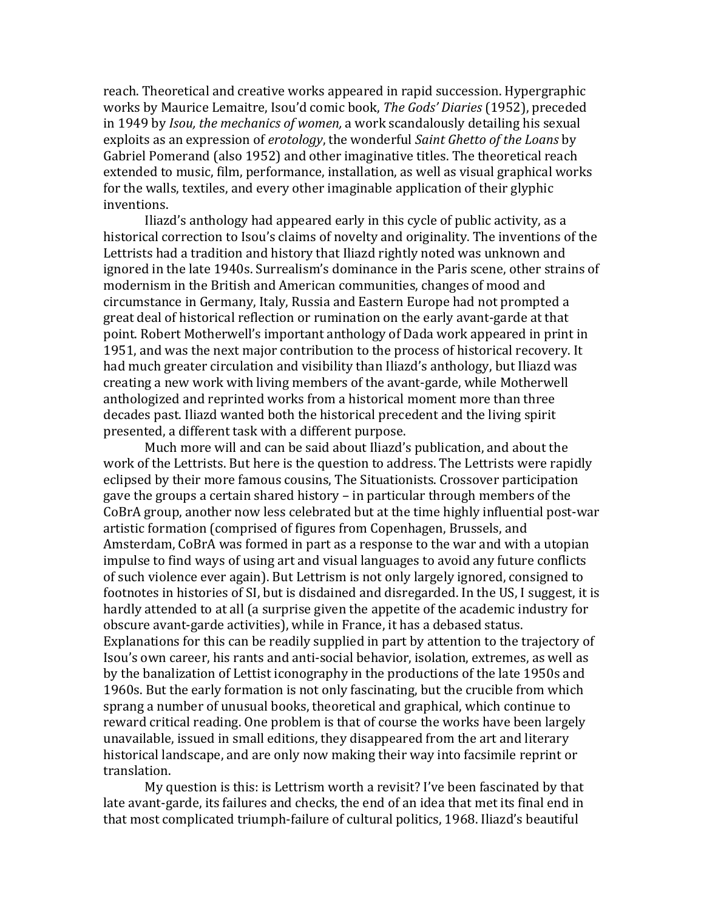reach. Theoretical and creative works appeared in rapid succession. Hypergraphic works)by)Maurice)Lemaitre,)Isou'd)comic)book,)*The'Gods''Diaries*)(1952),)preceded) in)1949)by)*Isou,'the'mechanics'of'women,*)a)work)scandalously)detailing)his)sexual) exploits as an expression of *erotology*, the wonderful *Saint Ghetto of the Loans* by Gabriel Pomerand (also 1952) and other imaginative titles. The theoretical reach extended to music, film, performance, installation, as well as visual graphical works for the walls, textiles, and every other imaginable application of their glyphic inventions.

Iliazd's anthology had appeared early in this cycle of public activity, as a historical correction to Isou's claims of novelty and originality. The inventions of the Lettrists had a tradition and history that Iliazd rightly noted was unknown and ignored in the late 1940s. Surrealism's dominance in the Paris scene, other strains of modernism in the British and American communities, changes of mood and circumstance in Germany, Italy, Russia and Eastern Europe had not prompted a great deal of historical reflection or rumination on the early avant-garde at that point. Robert Motherwell's important anthology of Dada work appeared in print in 1951, and was the next major contribution to the process of historical recovery. It had much greater circulation and visibility than Iliazd's anthology, but Iliazd was creating a new work with living members of the avant-garde, while Motherwell anthologized and reprinted works from a historical moment more than three decades past. Iliazd wanted both the historical precedent and the living spirit presented, a different task with a different purpose.

Much more will and can be said about Iliazd's publication, and about the work of the Lettrists. But here is the question to address. The Lettrists were rapidly eclipsed by their more famous cousins, The Situationists. Crossover participation gave the groups a certain shared history – in particular through members of the CoBrA group, another now less celebrated but at the time highly influential post-war artistic formation (comprised of figures from Copenhagen, Brussels, and Amsterdam, CoBrA was formed in part as a response to the war and with a utopian impulse to find ways of using art and visual languages to avoid any future conflicts of such violence ever again). But Lettrism is not only largely ignored, consigned to footnotes in histories of SI, but is disdained and disregarded. In the US, I suggest, it is hardly attended to at all (a surprise given the appetite of the academic industry for obscure avant-garde activities), while in France, it has a debased status. Explanations for this can be readily supplied in part by attention to the trajectory of Isou's own career, his rants and anti-social behavior, isolation, extremes, as well as by the banalization of Lettist iconography in the productions of the late 1950s and 1960s. But the early formation is not only fascinating, but the crucible from which sprang a number of unusual books, theoretical and graphical, which continue to reward critical reading. One problem is that of course the works have been largely unavailable, issued in small editions, they disappeared from the art and literary historical landscape, and are only now making their way into facsimile reprint or translation.)

My question is this: is Lettrism worth a revisit? I've been fascinated by that late avant-garde, its failures and checks, the end of an idea that met its final end in that most complicated triumph-failure of cultural politics, 1968. Iliazd's beautiful